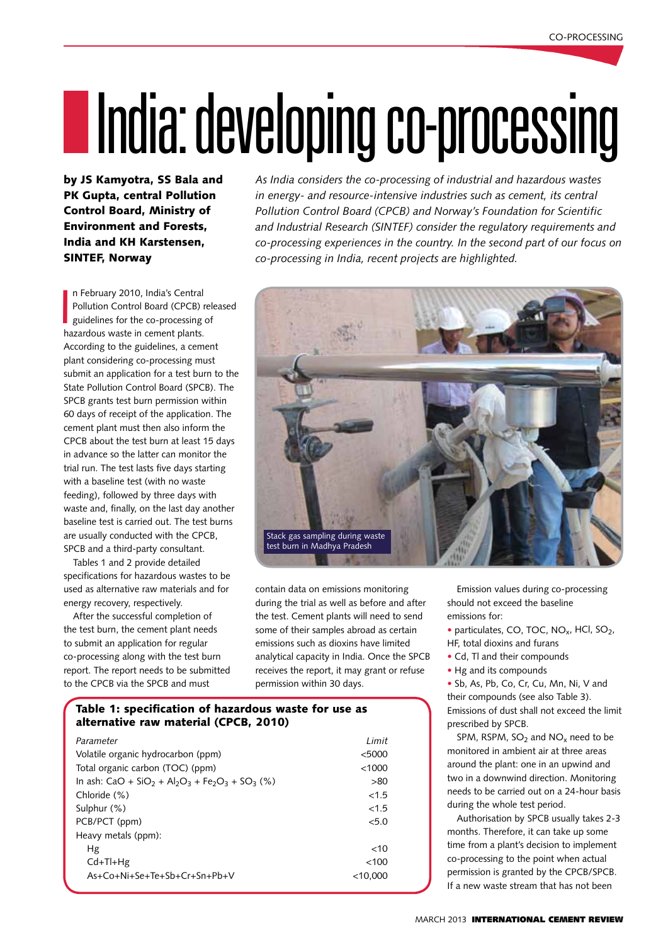# IIndia: developing co-processing

by JS Kamyotra, SS Bala and PK Gupta, central Pollution Control Board, Ministry of Environment and Forests, India and KH Karstensen, **SINTEF, Norway** 

 $\overline{\phantom{a}}$ n February 2010, India's Central Pollution Control Board (CPCB) released guidelines for the co-processing of hazardous waste in cement plants. According to the guidelines, a cement plant considering co-processing must submit an application for a test burn to the State Pollution Control Board (SPCB). The SPCB grants test burn permission within 60 days of receipt of the application. The cement plant must then also inform the CPCB about the test burn at least 15 days in advance so the latter can monitor the trial run. The test lasts five days starting with a baseline test (with no waste feeding), followed by three days with waste and, finally, on the last day another baseline test is carried out. The test burns are usually conducted with the CPCB, SPCB and a third-party consultant.

Tables 1 and 2 provide detailed specifications for hazardous wastes to be used as alternative raw materials and for energy recovery, respectively.

After the successful completion of the test burn, the cement plant needs to submit an application for regular co-processing along with the test burn report. The report needs to be submitted to the CPCB via the SPCB and must

*As India considers the co-processing of industrial and hazardous wastes in energy- and resource-intensive industries such as cement, its central Pollution Control Board (CPCB) and Norway's Foundation for Scientific and Industrial Research (SINTEF) consider the regulatory requirements and co-processing experiences in the country. In the second part of our focus on co-processing in India, recent projects are highlighted.*



contain data on emissions monitoring during the trial as well as before and after the test. Cement plants will need to send some of their samples abroad as certain emissions such as dioxins have limited analytical capacity in India. Once the SPCB receives the report, it may grant or refuse permission within 30 days.

## Table 1: specification of hazardous waste for use as alternative raw material (CPCB, 2010)

| Parameter                                                                                                              | I imit     |
|------------------------------------------------------------------------------------------------------------------------|------------|
| Volatile organic hydrocarbon (ppm)                                                                                     | < 5000     |
| Total organic carbon (TOC) (ppm)                                                                                       | <1000      |
| In ash: CaO + SiO <sub>2</sub> + Al <sub>2</sub> O <sub>3</sub> + Fe <sub>2</sub> O <sub>3</sub> + SO <sub>3</sub> (%) | >80        |
| Chloride (%)                                                                                                           | <1.5       |
| Sulphur (%)                                                                                                            | <1.5       |
| PCB/PCT (ppm)                                                                                                          | 5.0        |
| Heavy metals (ppm):                                                                                                    |            |
| Hg                                                                                                                     | $<$ 10     |
| $Cd+TI+Hg$                                                                                                             | < 100      |
| $As+C_0+Ni+Se+Te+Sh+Cr+Sn+Ph+V$                                                                                        | $<$ 10.000 |

Emission values during co-processing should not exceed the baseline emissions for:

• particulates, CO, TOC,  $NO<sub>x</sub>$ , HCl,  $SO<sub>2</sub>$ , HF, total dioxins and furans

- Cd, Tl and their compounds
- Hg and its compounds

• Sb, As, Pb, Co, Cr, Cu, Mn, Ni, V and their compounds (see also Table 3). Emissions of dust shall not exceed the limit prescribed by SPCB.

SPM, RSPM,  $SO<sub>2</sub>$  and  $NO<sub>x</sub>$  need to be monitored in ambient air at three areas around the plant: one in an upwind and two in a downwind direction. Monitoring needs to be carried out on a 24-hour basis during the whole test period.

Authorisation by SPCB usually takes 2-3 months. Therefore, it can take up some time from a plant's decision to implement co-processing to the point when actual permission is granted by the CPCB/SPCB. If a new waste stream that has not been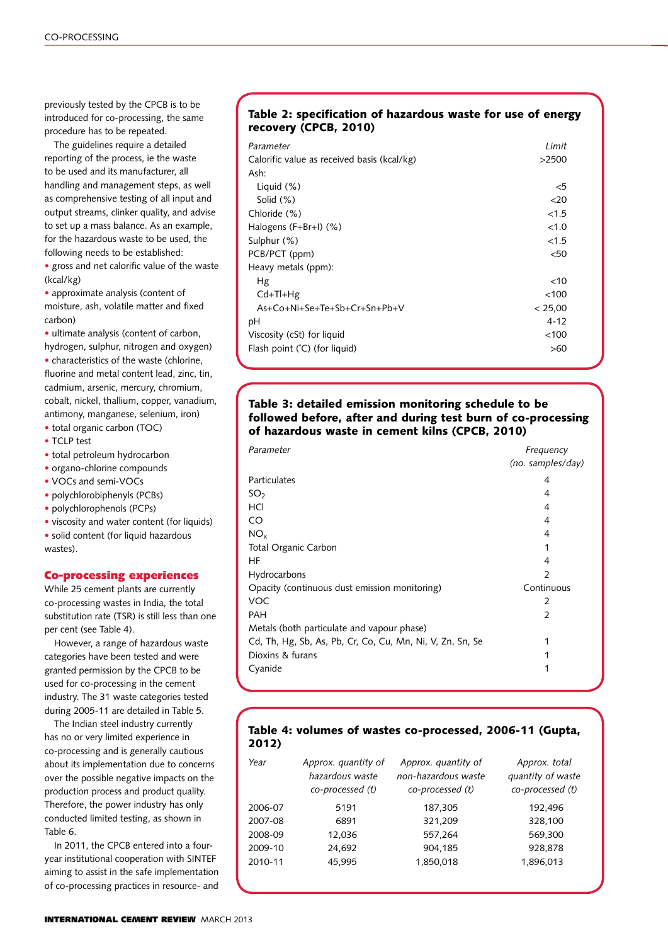previously tested by the CPCB is to be introduced for co-processing, the same procedure has to be repeated.

The guidelines require a detailed reporting of the process, ie the waste to be used and its manufacturer, all handling and management steps, as well as comprehensive testing of all input and output streams, clinker quality, and advise to set up a mass balance. As an example, for the hazardous waste to be used, the following needs to be established:

• gross and net calorific value of the waste (kcal/kg)

• approximate analysis (content of moisture, ash, volatile matter and fixed carbon)

• ultimate analysis (content of carbon, hydrogen, sulphur, nitrogen and oxygen)

• characteristics of the waste (chlorine, fluorine and metal content lead, zinc, tin, cadmium, arsenic, mercury, chromium, cobalt, nickel, thallium, copper, vanadium, antimony, manganese, selenium, iron) • total organic carbon (TOC)

- TCLP test
- total petroleum hydrocarbon
- organo-chlorine compounds
- VOCs and semi-VOCs
- polychlorobiphenyls (PCBs)
- polychlorophenols (PCPs)
- viscosity and water content (for liquids)

• solid content (for liquid hazardous wastes).

#### Co-processing experiences

While 25 cement plants are currently co-processing wastes in India, the total substitution rate (TSR) is still less than one per cent (see Table 4).

However, a range of hazardous waste categories have been tested and were granted permission by the CPCB to be used for co-processing in the cement industry. The 31 waste categories tested during 2005-11 are detailed in Table 5.

The Indian steel industry currently has no or very limited experience in co-processing and is generally cautious about its implementation due to concerns over the possible negative impacts on the production process and product quality. Therefore, the power industry has only conducted limited testing, as shown in Table 6.

In 2011, the CPCB entered into a fouryear institutional cooperation with SINTEF aiming to assist in the safe implementation of co-processing practices in resource- and

#### Table 2: specification of hazardous waste for use of energy recovery (CPCB, 2010)

| Parameter                                   | Limit    |
|---------------------------------------------|----------|
| Calorific value as received basis (kcal/kg) | >2500    |
| Ash:                                        |          |
| Liquid $(\%)$                               | $<$ 5    |
| Solid $(\%)$                                | 20       |
| Chloride (%)                                | < 1.5    |
| Halogens $(F+Br+1)$ (%)                     | <1.0     |
| Sulphur (%)                                 | <1.5     |
| PCB/PCT (ppm)                               | $50$     |
| Heavy metals (ppm):                         |          |
| Hg                                          | $<$ 10   |
| $Cd+TI+Hg$                                  | <100     |
| As+Co+Ni+Se+Te+Sb+Cr+Sn+Pb+V                | < 25.00  |
| рH                                          | $4 - 12$ |
| Viscosity (cSt) for liquid                  | < 100    |
| Flash point (°C) (for liquid)               | >60      |
|                                             |          |

### Table 3: detailed emission monitoring schedule to be followed before, after and during test burn of co-processing of hazardous waste in cement kilns (CPCB, 2010)

| Parameter                                                 | Frequency         |
|-----------------------------------------------------------|-------------------|
|                                                           | (no. samples/day) |
| Particulates                                              | 4                 |
| SO <sub>2</sub>                                           | 4                 |
| HCl                                                       | 4                 |
| CO                                                        | 4                 |
| $NO_{x}$                                                  | 4                 |
| <b>Total Organic Carbon</b>                               | 1                 |
| HF                                                        | 4                 |
| Hydrocarbons                                              | 2                 |
| Opacity (continuous dust emission monitoring)             | Continuous        |
| VOC                                                       | 2                 |
| <b>PAH</b>                                                | 2                 |
| Metals (both particulate and vapour phase)                |                   |
| Cd, Th, Hg, Sb, As, Pb, Cr, Co, Cu, Mn, Ni, V, Zn, Sn, Se | 1                 |
| Dioxins & furans                                          | 1                 |
| Cyanide                                                   | 1                 |
|                                                           |                   |

#### Table 4: volumes of wastes co-processed, 2006-11 (Gupta, 2012)

| Year    | Approx. quantity of<br>hazardous waste<br>co-processed (t) | Approx. quantity of<br>non-hazardous waste<br>co-processed (t) | Approx. total<br>quantity of waste<br>co-processed (t) |
|---------|------------------------------------------------------------|----------------------------------------------------------------|--------------------------------------------------------|
| 2006-07 | 5191                                                       | 187,305                                                        | 192,496                                                |
| 2007-08 | 6891                                                       | 321,209                                                        | 328,100                                                |
| 2008-09 | 12,036                                                     | 557,264                                                        | 569,300                                                |
| 2009-10 | 24,692                                                     | 904,185                                                        | 928,878                                                |
| 2010-11 | 45.995                                                     | 1,850,018                                                      | 1,896,013                                              |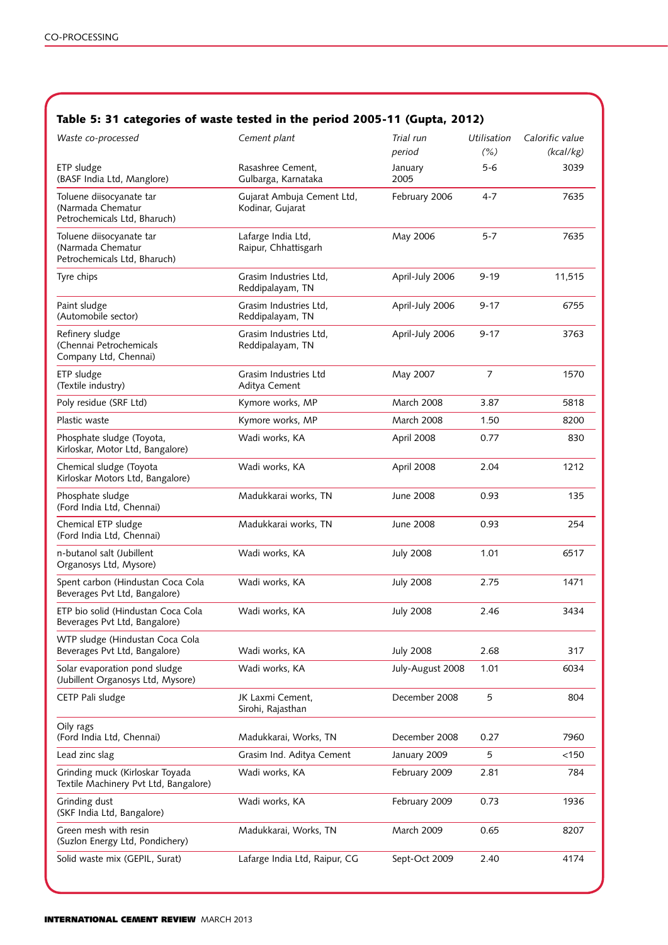# Table 5: 31 categories of waste tested in the period 2005-11 (Gupta, 2012)

| Waste co-processed                                                            | Cement plant                                   | Trial run<br>period | Utilisation<br>(% ) | Calorific value<br>(kcal/kg) |
|-------------------------------------------------------------------------------|------------------------------------------------|---------------------|---------------------|------------------------------|
| ETP sludge<br>(BASF India Ltd, Manglore)                                      | Rasashree Cement.<br>Gulbarga, Karnataka       | January<br>2005     | 5-6                 | 3039                         |
| Toluene diisocyanate tar<br>(Narmada Chematur<br>Petrochemicals Ltd, Bharuch) | Gujarat Ambuja Cement Ltd,<br>Kodinar, Gujarat | February 2006       | $4 - 7$             | 7635                         |
| Toluene diisocyanate tar<br>(Narmada Chematur<br>Petrochemicals Ltd, Bharuch) | Lafarge India Ltd,<br>Raipur, Chhattisgarh     | May 2006            | $5 - 7$             | 7635                         |
| Tyre chips                                                                    | Grasim Industries Ltd,<br>Reddipalayam, TN     | April-July 2006     | $9 - 19$            | 11,515                       |
| Paint sludge<br>(Automobile sector)                                           | Grasim Industries Ltd.<br>Reddipalayam, TN     | April-July 2006     | $9 - 17$            | 6755                         |
| Refinery sludge<br>(Chennai Petrochemicals<br>Company Ltd, Chennai)           | Grasim Industries Ltd.<br>Reddipalayam, TN     | April-July 2006     | $9 - 17$            | 3763                         |
| ETP sludge<br>(Textile industry)                                              | Grasim Industries Ltd<br>Aditya Cement         | May 2007            | $\overline{7}$      | 1570                         |
| Poly residue (SRF Ltd)                                                        | Kymore works, MP                               | March 2008          | 3.87                | 5818                         |
| Plastic waste                                                                 | Kymore works, MP                               | March 2008          | 1.50                | 8200                         |
| Phosphate sludge (Toyota,<br>Kirloskar, Motor Ltd, Bangalore)                 | Wadi works, KA                                 | April 2008          | 0.77                | 830                          |
| Chemical sludge (Toyota<br>Kirloskar Motors Ltd, Bangalore)                   | Wadi works, KA                                 | April 2008          | 2.04                | 1212                         |
| Phosphate sludge<br>(Ford India Ltd, Chennai)                                 | Madukkarai works, TN                           | June 2008           | 0.93                | 135                          |
| Chemical ETP sludge<br>(Ford India Ltd, Chennai)                              | Madukkarai works, TN                           | June 2008           | 0.93                | 254                          |
| n-butanol salt (Jubillent<br>Organosys Ltd, Mysore)                           | Wadi works, KA                                 | <b>July 2008</b>    | 1.01                | 6517                         |
| Spent carbon (Hindustan Coca Cola<br>Beverages Pvt Ltd, Bangalore)            | Wadi works, KA                                 | <b>July 2008</b>    | 2.75                | 1471                         |
| ETP bio solid (Hindustan Coca Cola<br>Beverages Pvt Ltd, Bangalore)           | Wadi works, KA                                 | <b>July 2008</b>    | 2.46                | 3434                         |
| WTP sludge (Hindustan Coca Cola<br>Beverages Pvt Ltd, Bangalore)              | Wadi works, KA                                 | <b>July 2008</b>    | 2.68                | 317                          |
| Solar evaporation pond sludge<br>(Jubillent Organosys Ltd, Mysore)            | Wadi works, KA                                 | July-August 2008    | 1.01                | 6034                         |
| CETP Pali sludge                                                              | JK Laxmi Cement,<br>Sirohi, Rajasthan          | December 2008       | 5                   | 804                          |
| Oily rags<br>(Ford India Ltd, Chennai)                                        | Madukkarai, Works, TN                          | December 2008       | 0.27                | 7960                         |
| Lead zinc slag                                                                | Grasim Ind. Aditya Cement                      | January 2009        | 5                   | < 150                        |
| Grinding muck (Kirloskar Toyada<br>Textile Machinery Pvt Ltd, Bangalore)      | Wadi works, KA                                 | February 2009       | 2.81                | 784                          |
| Grinding dust<br>(SKF India Ltd, Bangalore)                                   | Wadi works, KA                                 | February 2009       | 0.73                | 1936                         |
| Green mesh with resin<br>(Suzlon Energy Ltd, Pondichery)                      | Madukkarai, Works, TN                          | March 2009          | 0.65                | 8207                         |
| Solid waste mix (GEPIL, Surat)                                                | Lafarge India Ltd, Raipur, CG                  | Sept-Oct 2009       | 2.40                | 4174                         |